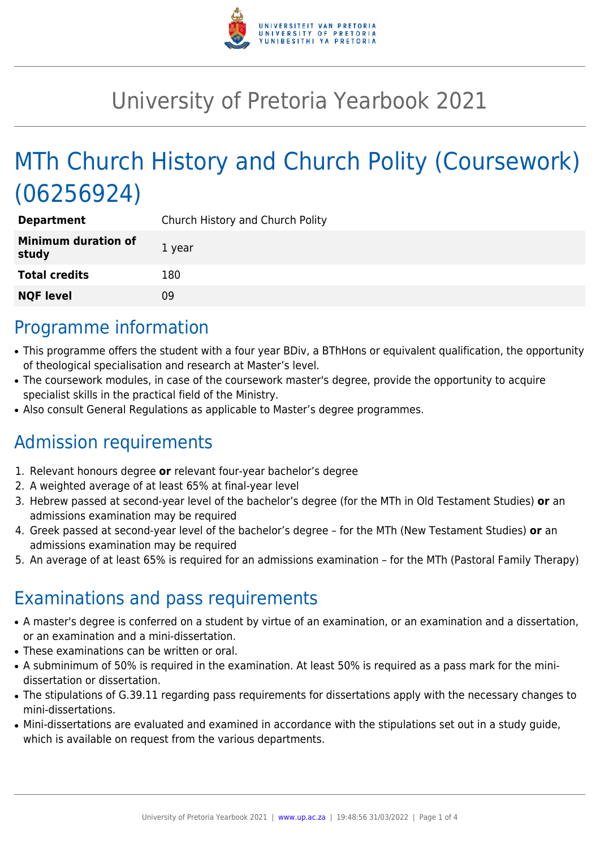

## University of Pretoria Yearbook 2021

# MTh Church History and Church Polity (Coursework) (06256924)

| <b>Department</b>                   | Church History and Church Polity |
|-------------------------------------|----------------------------------|
| <b>Minimum duration of</b><br>study | 1 year                           |
| <b>Total credits</b>                | 180                              |
| <b>NQF level</b>                    | 09                               |

### Programme information

- This programme offers the student with a four year BDiv, a BThHons or equivalent qualification, the opportunity of theological specialisation and research at Master's level.
- The coursework modules, in case of the coursework master's degree, provide the opportunity to acquire specialist skills in the practical field of the Ministry.
- Also consult General Regulations as applicable to Master's degree programmes.

### Admission requirements

- 1. Relevant honours degree **or** relevant four-year bachelor's degree
- 2. A weighted average of at least 65% at final-year level
- 3. Hebrew passed at second-year level of the bachelor's degree (for the MTh in Old Testament Studies) **or** an admissions examination may be required
- 4. Greek passed at second-year level of the bachelor's degree for the MTh (New Testament Studies) **or** an admissions examination may be required
- 5. An average of at least 65% is required for an admissions examination for the MTh (Pastoral Family Therapy)

### Examinations and pass requirements

- A master's degree is conferred on a student by virtue of an examination, or an examination and a dissertation, or an examination and a mini-dissertation.
- These examinations can be written or oral.
- A subminimum of 50% is required in the examination. At least 50% is required as a pass mark for the minidissertation or dissertation.
- The stipulations of G.39.11 regarding pass requirements for dissertations apply with the necessary changes to mini-dissertations.
- Mini-dissertations are evaluated and examined in accordance with the stipulations set out in a study guide, which is available on request from the various departments.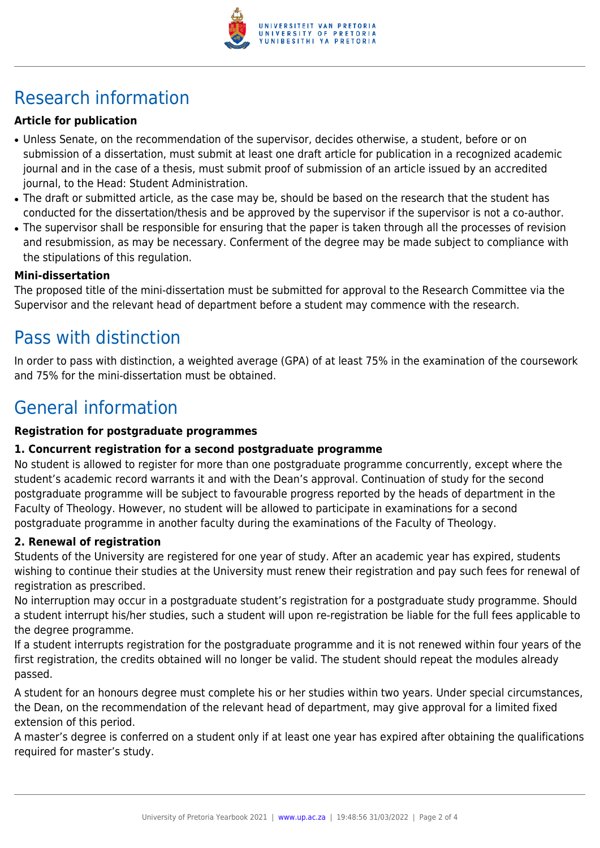

## Research information

#### **Article for publication**

- Unless Senate, on the recommendation of the supervisor, decides otherwise, a student, before or on submission of a dissertation, must submit at least one draft article for publication in a recognized academic journal and in the case of a thesis, must submit proof of submission of an article issued by an accredited journal, to the Head: Student Administration.
- The draft or submitted article, as the case may be, should be based on the research that the student has conducted for the dissertation/thesis and be approved by the supervisor if the supervisor is not a co-author.
- The supervisor shall be responsible for ensuring that the paper is taken through all the processes of revision and resubmission, as may be necessary. Conferment of the degree may be made subject to compliance with the stipulations of this regulation.

#### **Mini-dissertation**

The proposed title of the mini-dissertation must be submitted for approval to the Research Committee via the Supervisor and the relevant head of department before a student may commence with the research.

### Pass with distinction

In order to pass with distinction, a weighted average (GPA) of at least 75% in the examination of the coursework and 75% for the mini-dissertation must be obtained.

### General information

#### **Registration for postgraduate programmes**

#### **1. Concurrent registration for a second postgraduate programme**

No student is allowed to register for more than one postgraduate programme concurrently, except where the student's academic record warrants it and with the Dean's approval. Continuation of study for the second postgraduate programme will be subject to favourable progress reported by the heads of department in the Faculty of Theology. However, no student will be allowed to participate in examinations for a second postgraduate programme in another faculty during the examinations of the Faculty of Theology.

#### **2. Renewal of registration**

Students of the University are registered for one year of study. After an academic year has expired, students wishing to continue their studies at the University must renew their registration and pay such fees for renewal of registration as prescribed.

No interruption may occur in a postgraduate student's registration for a postgraduate study programme. Should a student interrupt his/her studies, such a student will upon re-registration be liable for the full fees applicable to the degree programme.

If a student interrupts registration for the postgraduate programme and it is not renewed within four years of the first registration, the credits obtained will no longer be valid. The student should repeat the modules already passed.

A student for an honours degree must complete his or her studies within two years. Under special circumstances, the Dean, on the recommendation of the relevant head of department, may give approval for a limited fixed extension of this period.

A master's degree is conferred on a student only if at least one year has expired after obtaining the qualifications required for master's study.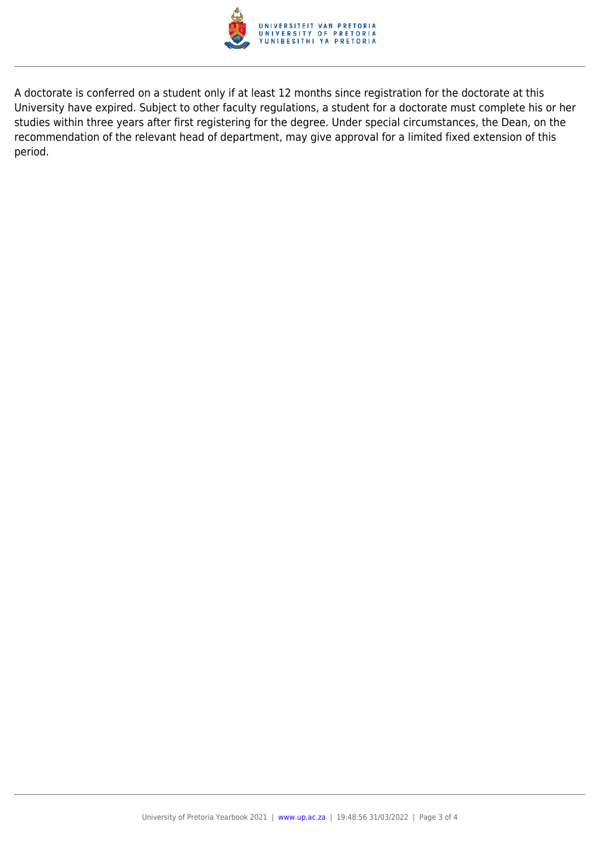

A doctorate is conferred on a student only if at least 12 months since registration for the doctorate at this University have expired. Subject to other faculty regulations, a student for a doctorate must complete his or her studies within three years after first registering for the degree. Under special circumstances, the Dean, on the recommendation of the relevant head of department, may give approval for a limited fixed extension of this period.